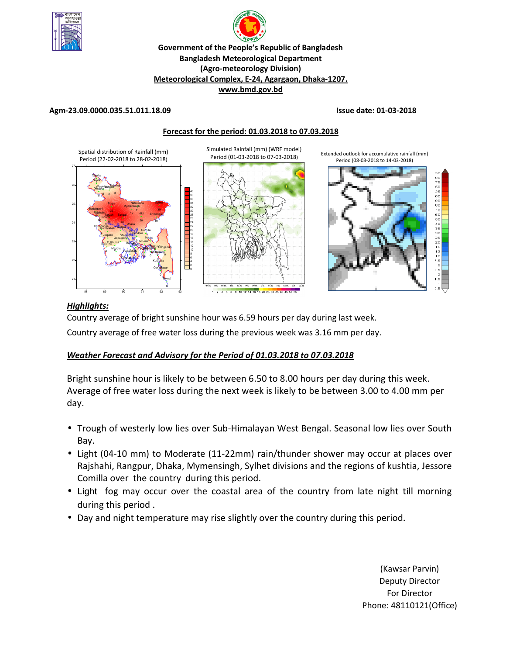

# **R Government of the People's Republic of Bangladesh Bangladesh Meteorological Department (Agro-meteorology Division) Meteorological Complex, E-24, Agargaon, Dhaka-1207. www.bmd.gov.bd**

#### **Agm-23.09.0000.035.51.011.18.09 Issue date: 01-03-2018**



#### *Highlights:*

Country average of bright sunshine hour was 6.59 hours per day during last week.

Country average of free water loss during the previous week was 3.16 mm per day.

#### *Weather Forecast and Advisory for the Period of 01.03.2018 to 07.03.2018*

Bright sunshine hour is likely to be between 6.50 to 8.00 hours per day during this week. Average of free water loss during the next week is likely to be between 3.00 to 4.00 mm per day.

- Trough of westerly low lies over Sub-Himalayan West Bengal. Seasonal low lies over South Bay.
- Light (04-10 mm) to Moderate (11-22mm) rain/thunder shower may occur at places over Rajshahi, Rangpur, Dhaka, Mymensingh, Sylhet divisions and the regions of kushtia, Jessore Comilla over the country during this period.
- Light fog may occur over the coastal area of the country from late night till morning during this period .
- Day and night temperature may rise slightly over the country during this period.

(Kawsar Parvin) Deputy Director For Director Phone: 48110121(Office)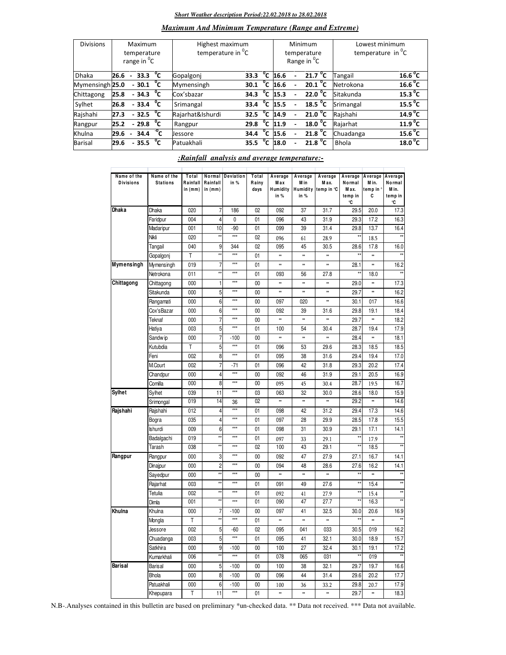#### *Short Weather description Period:22.02.2018 to 28.02.2018*

### *Maximum And Minimum Temperature (Range and Extreme)*

| <b>Divisions</b> | Maximum<br>temperature<br>range in <sup>o</sup> C |                |                                 |        | Highest maximum<br>temperature in <sup>"</sup> C |      |              |      | Minimum<br>temperature<br>Range in <sup>o</sup> C | Lowest minimum<br>temperature in $^{\circ}$ C |                     |  |
|------------------|---------------------------------------------------|----------------|---------------------------------|--------|--------------------------------------------------|------|--------------|------|---------------------------------------------------|-----------------------------------------------|---------------------|--|
| <b>Dhaka</b>     | 26.6                                              | $\sim$         | 33.3 $^{\circ}$ C               |        | Gopalgonj                                        | 33.3 | $^{\circ}$ c | 16.6 | 21.7 <sup>o</sup> C                               | <b>Tangail</b>                                | 16.6 <sup>o</sup> C |  |
| Mymensingh 25.0  |                                                   |                | $-30.1$ <sup>o</sup> C          |        | Mymensingh                                       | 30.1 | °c           | 16.6 | 20.1 $^{\circ}$ C                                 | Netrokona                                     | 16.6 <sup>o</sup> C |  |
| Chittagong       | 25.8                                              |                | $-34.3\degree$ C                |        | Cox'sbazar                                       | 34.3 |              | 15.3 | $22.0^{\circ}$ C                                  | Sitakunda                                     | 15.3 <sup>0</sup> C |  |
| Sylhet           | 26.8                                              |                | $-33.4 °C$                      |        | Srimangal                                        | 33.4 | °c           | 15.5 | 18.5 $\degree$ C                                  | Srimangal                                     | 15.5 $^{\circ}$ C   |  |
| Rajshahi         | 27.3                                              |                | $-32.5\text{ °C}$               |        | Rajarhat&Ishurdi                                 | 32.5 | °c           | 14.9 | $21.0\degree$ C                                   | Rajshahi                                      | 14.9 <sup>o</sup> C |  |
| Rangpur          | 25.2                                              |                | $-29.8\text{ }^{\circ}\text{C}$ |        | Rangpur                                          | 29.8 |              | 11.9 | 18.0 <sup>o</sup> C                               | Rajarhat                                      | 11.9 <sup>0</sup> C |  |
| Khulna           | 29.6                                              | $\blacksquare$ | 34.4                            | $-0$ C | <b>Jessore</b>                                   | 34.4 | $^{\circ}$ c | 15.6 | 21.8 $^{\circ}$ C                                 | Chuadanga                                     | $15.6\text{ °C}$    |  |
| Barisal          | 29.6                                              |                | $-35.5$                         | °c     | Patuakhali                                       | 35.5 | $^{\circ}$ c | 18.0 | 21.8 $^{\circ}$ C                                 | <b>Bhola</b>                                  | 18.0 <sup>o</sup> C |  |

#### *:Rainfall analysis and average temperature:-*

| Name of the<br><b>Divisions</b> | Name of the<br><b>Stations</b> | Total<br>Rainfall<br>in (mm) | Normal<br>Rainfall<br>in $(mm)$ | <b>Deviation</b><br>in % | Total<br>Rainy<br>days | Average<br>M a x<br>Humidity<br>in % | Average<br>M in<br>in % | Average<br>Max.<br>Humidity temp in °C | Average<br>Normal<br>Max.<br>temp in<br>۰C | Average<br>Min.<br>temp in<br>c | Average<br>Normal<br>M in.<br>temp in<br>۰C |
|---------------------------------|--------------------------------|------------------------------|---------------------------------|--------------------------|------------------------|--------------------------------------|-------------------------|----------------------------------------|--------------------------------------------|---------------------------------|---------------------------------------------|
| Dhaka                           | Dhaka                          | 020                          | 7                               | 186                      | 02                     | 092                                  | 37                      | 31.7                                   | 29.5                                       | 20.0                            | 17.3                                        |
|                                 | Faridpur                       | 004                          | 4                               | 0                        | 01                     | 096                                  | 43                      | 31.9                                   | 29.3                                       | 17.2                            | 16.3                                        |
|                                 | Madaripur                      | 001                          | 10                              | $-90$                    | 01                     | 099                                  | 39                      | 31.4                                   | 29.8                                       | 13.7                            | 16.4                                        |
|                                 | Nikli                          | 020                          |                                 | $***$                    | 02                     | 096                                  | 61                      | 28.9                                   |                                            | 18.5                            |                                             |
|                                 | Tangail                        | 040                          | 9                               | 344                      | 02                     | 095                                  | 45                      | 30.5                                   | 28.6                                       | 17.8                            | 16.0                                        |
|                                 | Gopalgonj                      | T                            | $\star$                         | $***$                    | 01                     | **                                   | **                      | *                                      |                                            | ×.                              | $\star$                                     |
| Mymensingh                      | Mymensingh                     | 019                          | 7                               | $***$                    | 01                     | **                                   | **                      | *                                      | 28.1                                       | ×                               | 16.2                                        |
|                                 | Netrokona                      | 011                          | xx                              | $***$                    | 01                     | 093                                  | 56                      | 27.8                                   | *i                                         | 18.0                            | ź.                                          |
| Chittagong                      | Chittagong                     | 000                          | 1                               | $***$                    | 00                     | **                                   | **                      | ×                                      | 29.0                                       | *                               | 17.3                                        |
|                                 | Sitakunda                      | 000                          | 5                               | $\ddot{x}$               | 00                     | **                                   | **                      | ×                                      | 29.7                                       | *                               | 16.2                                        |
|                                 | Rangamati                      | 000                          | 6                               | $***$                    | 00                     | 097                                  | 020                     | *                                      | 30.1                                       | 017                             | 16.6                                        |
|                                 | Cox'sBazar                     | 000                          | 6                               | $***$                    | 00                     | 092                                  | 39                      | 31.6                                   | 29.8                                       | 19.1                            | 18.4                                        |
|                                 | Teknaf                         | 000                          | 7                               | $***$                    | 00                     | **                                   | **                      | *                                      | 29.7                                       | *                               | 18.2                                        |
|                                 | Hatiya                         | 003                          | 5                               | $\overline{***}$         | 01                     | 100                                  | 54                      | 30.4                                   | 28.7                                       | 19.4                            | 17.9                                        |
|                                 | Sandw ip                       | 000                          | 7                               | $-100$                   | 00                     | **                                   | **                      | *                                      | 28.4                                       | *                               | 18.1                                        |
|                                 | Kutubdia                       | T                            | 5                               | $\overline{***}$         | 01                     | 096                                  | 53                      | 29.6                                   | 28.3                                       | 18.5                            | 18.5                                        |
|                                 | Feni                           | 002                          | 8                               | $\ddot{x}$               | 01                     | 095                                  | 38                      | 31.6                                   | 29.4                                       | 19.4                            | 17.0                                        |
|                                 | M.Court                        | 002                          | 7                               | $-71$                    | 01                     | 096                                  | 42                      | 31.8                                   | 29.3                                       | 20.2                            | 17.4                                        |
|                                 | Chandpur                       | 000                          | 4                               | $\ddot{x}$               | 00                     | 092                                  | 46                      | 31.9                                   | 29.1                                       | 20.5                            | 16.9                                        |
|                                 | Comilla                        | 000                          | 8                               | $\overline{***}$         | 00                     | 095                                  | 45                      | 30.4                                   | 28.7                                       | 19.5                            | 16.7                                        |
| Sylhet                          | Sylhet                         | 039                          | 11                              | $\ddot{x}$               | 03                     | 063                                  | 32                      | 30.0                                   | 28.6                                       | 18.0                            | 15.9                                        |
|                                 | Srimongal                      | 019                          | 14                              | 36                       | 02                     | #                                    | *                       | ×                                      | 29.2                                       | ×                               | 14.6                                        |
| Rajshahi                        | Rajshahi                       | 012                          | 4                               | $***$                    | 01                     | 098                                  | 42                      | 31.2                                   | 29.4                                       | 17.3                            | 14.6                                        |
|                                 | Bogra                          | 035                          | 4                               | $\ddot{x}$               | 01                     | 097                                  | 28                      | 29.9                                   | 28.5                                       | 17.8                            | 15.5                                        |
|                                 | Ishurdi                        | 009                          | 6                               | $***$                    | 01                     | 098                                  | 31                      | 30.9                                   | 29.1                                       | 17.1                            | 14.1                                        |
|                                 | Badalgachi                     | 019                          | $\star$                         | $***$                    | 01                     | 097                                  | 33                      | 29.1                                   |                                            | 17.9                            | ź,                                          |
|                                 | Tarash                         | 038                          | $\frac{1}{2}$                   | $\ddot{x}$               | 02                     | 100                                  | 43                      | 29.1                                   | x,                                         | 18.5                            |                                             |
| Rangpur                         | Rangpur                        | 000                          | 3                               | $***$                    | 00                     | 092                                  | 47                      | 27.9                                   | 27.1                                       | 16.7                            | 14.1                                        |
|                                 | Dinajpur                       | 000                          | $\overline{2}$                  | $\star \star \star$      | 00                     | 094                                  | 48                      | 28.6                                   | 27.6                                       | 16.2                            | 14.1                                        |
|                                 | Sayedpur                       | 000                          | $\star\star$                    | $\ddot{x}$               | 00                     | **                                   | **                      | ×                                      | $\star$                                    |                                 | $\star$                                     |
|                                 | Rajarhat                       | 003                          |                                 | $***$                    | 01                     | 091                                  | 49                      | 27.6                                   | **                                         | 15.4                            | ź,                                          |
|                                 | Tetulia                        | 002                          | $\star\star$                    | $\ddot{x}$               | 01                     | 092                                  | 41                      | 27.9                                   | $\star$                                    | 15.4                            | $\star\star$                                |
|                                 | Dimla                          | 001                          | x                               | $\ddot{x}$               | 01                     | 090                                  | 47                      | 27.7                                   | x                                          | 16.3                            | $\star$                                     |
| Khulna                          | Khulna                         | 000                          | 7                               | $-100$                   | 00                     | 097                                  | 41                      | 32.5                                   | 30.0                                       | 20.6                            | 16.9                                        |
|                                 | Mongla                         | T                            | $\star$                         | $\ddot{x}$               | 01                     | **                                   | *                       | *                                      |                                            | ss.                             | ź.                                          |
|                                 |                                | 002                          | 5                               |                          | 02                     | 095                                  | 041                     | 033                                    | 30.5                                       | 019                             | 16.2                                        |
|                                 | Jessore                        | 003                          | 5                               | -60<br>***               | 01                     | 095                                  | 41                      | 32.1                                   | 30.0                                       | 18.9                            | 15.7                                        |
|                                 | Chuadanga<br>Satkhira          | 000                          | 9                               | $-100$                   | 00                     | 100                                  | 27                      | 32.4                                   | 30.1                                       | 19.1                            | 17.2                                        |
|                                 |                                | 006                          | $\star$                         | $\overline{***}$         | 01                     | 078                                  | 065                     | 031                                    |                                            | 019                             |                                             |
| <b>Barisal</b>                  | Kumarkhali                     |                              |                                 |                          |                        |                                      |                         |                                        |                                            | 19.7                            |                                             |
|                                 | <b>Barisal</b>                 | 000                          | 5                               | $-100$                   | 00                     | 100                                  | 38<br>44                | 32.1                                   | 29.7                                       |                                 | 16.6                                        |
|                                 | <b>Bhola</b>                   | 000                          | 8                               | $-100$                   | 00                     | 096                                  |                         | 31.4                                   | 29.6                                       | 20.2                            | 17.7                                        |
|                                 | Patuakhali                     | 000                          | 6                               | $-100$<br>***            | 00                     | 100                                  | 36                      | 33.2                                   | 29.8                                       | 20.7                            | 17.9                                        |
|                                 | Khepupara                      | T                            | 11                              |                          | 01                     | *                                    | **                      | ×                                      | 29.7                                       | ×                               | 18.3                                        |

N.B-.Analyses contained in this bulletin are based on preliminary \*un-checked data. \*\* Data not received. \*\*\* Data not available.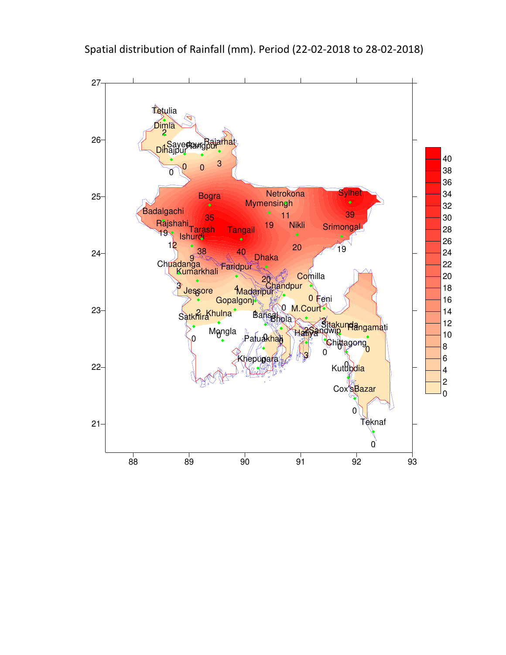

Spatial distribution of Rainfall (mm). Period (22-02-2018 to 28-02-2018)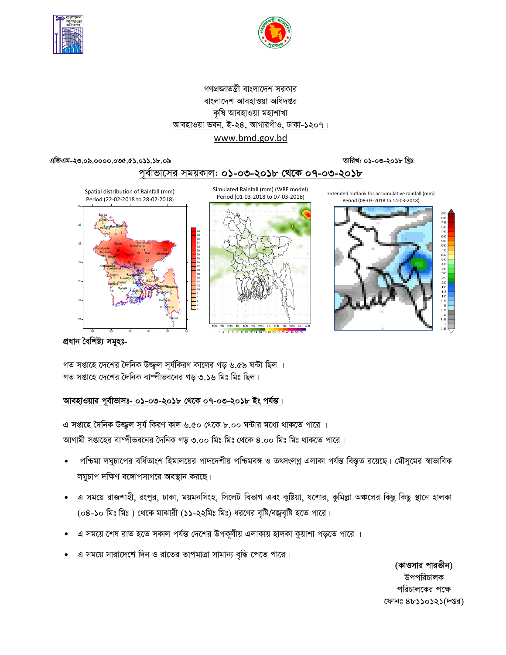



# গণপ্রজাতন্ত্রী বাংলাদেশ সরকার বাংলাদেশ আবহাওয়া অধিদপ্তর কৃষি আবহাওয়া মহাশাখা <u> আবহাওয়া ভবন, ই-২৪, আগারগাঁও, ঢাকা-১২০৭।</u> www.bmd.gov.bd

#### এজিএম-২৩.০৯.০০০০.০৩৫.৫১.০১১.১৮.০৯

তারিখ: ০১-০৩-২০১৮ খ্রিঃ





Simulated Rainfall (mm) (WRF model) Period (01-03-2018 to 07-03-2018)







প্ৰধান বৈশিষ্ট্য সমূহঃ-

গত সপ্তাহে দেশের দৈনিক উজ্জ্বল সূর্যকিরণ কালের গড় ৬.৫৯ ঘন্টা ছিল । গত সপ্তাহে দেশের দৈনিক বাষ্পীভবনের গড় ৩.১৬ মিঃ মিঃ ছিল।

#### আবহাওয়ার পূর্বাভাসঃ- ০১-০৩-২০১৮ থেকে ০৭-০৩-২০১৮ ইং পর্যন্ত।

এ সপ্তাহে দৈনিক উজ্জল সূর্য কিরণ কাল ৬.৫০ থেকে ৮.০০ ঘন্টার মধ্যে থাকতে পারে । আগামী সপ্তাহের বাষ্পীভবনের দৈনিক গড় ৩.০০ মিঃ মিঃ থেকে ৪.০০ মিঃ মিঃ থাকতে পারে।

- পশ্চিমা লঘুচাপের বর্ধিতাংশ হিমালয়ের পাদদেশীয় পশ্চিমবঙ্গ ও তৎসংলগ্ন এলাকা পর্যন্ত বিস্তৃত রয়েছে। মৌসুমের স্বাভাবিক লঘুচাপ দক্ষিণ বঙ্গোপসাগরে অবস্থান করছে।
- এ সময়ে রাজশাহী, রংপুর, ঢাকা, ময়মনসিংহ, সিলেট বিভাগ এবং কুষ্টিয়া, যশোর, কুমিল্লা অঞ্চলের কিছু কিছু স্থানে হালকা (০৪-১০ মিঃ মিঃ) থেকে মাঝারী (১১-২২মিঃ মিঃ) ধরণের বৃষ্টি/বজ্রবৃষ্টি হতে পারে।
- এ সময়ে শেষ রাত হতে সকাল পর্যন্ত দেশের উপকূলীয় এলাকায় হালকা কুয়াশা পড়তে পারে ।
- এ সময়ে সারাদেশে দিন ও রাতের তাপমাত্রা সামান্য বৃদ্ধি পেতে পারে।

(কাওসার পারভীন) উপপরিচালক পরিচালকের পক্ষে ফোনঃ ৪৮১১০১২১(দপ্তর)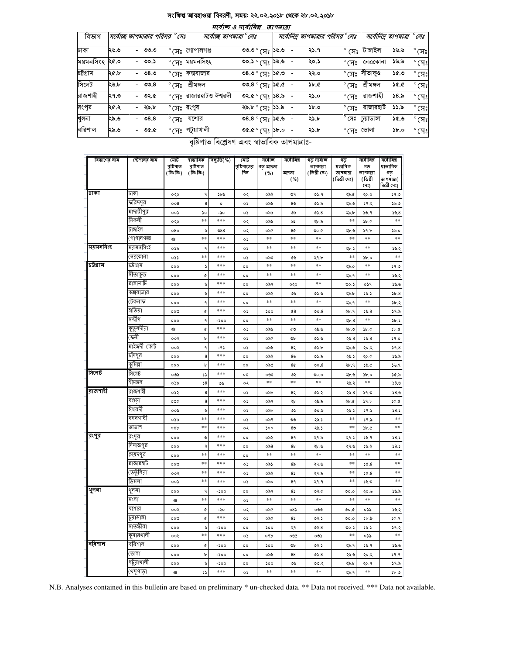# <u>সংক্ষিপ্ত আবহাওয়া বিবরণী, সময়: ২২.০২.২০১৮ থেকে ২৮.০২.২০১৮</u>

|           |                           |         |                        |                                | সর্বোচ্চ ও সর্বোনিম্ন                                                                                                                                                                                                                                                                                                                                                                                                                                                             | তাপমাত্রা |                 |                                       |                |                         |                          |
|-----------|---------------------------|---------|------------------------|--------------------------------|-----------------------------------------------------------------------------------------------------------------------------------------------------------------------------------------------------------------------------------------------------------------------------------------------------------------------------------------------------------------------------------------------------------------------------------------------------------------------------------|-----------|-----------------|---------------------------------------|----------------|-------------------------|--------------------------|
| বিভাগ     | সর্বোচ্ছ তাপমাত্রার পরিসর |         | $^\circ$ ମେଃ           |                                | সৰ্বোচ্ছ তাপমাত্ৰা ° সেঃ                                                                                                                                                                                                                                                                                                                                                                                                                                                          |           |                 | সর্বোনিম তাপমাত্রার পরিসর <i>°সেঃ</i> |                | সর্বোনিম তাপমাত্রা °সেঃ |                          |
| ঢাকা      | ২৬.৬                      | - ৩৩.৩  |                        | $^\circ$ সেঃ গোপালগঞ্জ         | $90.9^{\circ}$ $\sqrt{7}$ : $96.9^{\circ}$                                                                                                                                                                                                                                                                                                                                                                                                                                        |           | ২১.৭            | $^{\circ}$ (সঃ $^{\circ}$             | টাঙ্গাইল       | ১৬.৬                    | $^{\circ}$ (সঃ           |
| ময়মনসিংহ | ২৫.০                      | - ৩০.১  | $^{\circ}$ সেঃ         | ময়মনসিংহ                      | $\omega$ 90.) $\delta$ $\Delta$ $\delta$ $\gamma$                                                                                                                                                                                                                                                                                                                                                                                                                                 |           | ২০.১            | $^{\circ}$ (সঃ                        | নেত্ৰকোনা      | ১৬.৬                    | $^{\circ}$ (সঃ           |
| চট্টগ্ৰাম | ২৫.৮                      | - ৩৪.৩  | $^{\circ}$ সেঃ         | কক্সবাজার                      | $0.36$ $\sqrt[3]{7}$ $0.80$                                                                                                                                                                                                                                                                                                                                                                                                                                                       |           | ২২.০            |                                       | °মেঃ সীতাকুণ্ড | ১৫.৩                    | $^{\circ}$ (সঃ           |
| সিলেট     | ২৬.৮                      | - ৩৩.৪  | $^\circ$ সেঃ           | শ্ৰীমঙ্গল                      | ৩৩.৪ $^{\circ}$ (স $_{\rm s}$ ১৫.৫                                                                                                                                                                                                                                                                                                                                                                                                                                                |           | $\mathcal{F}$ . | $^{\circ}$ (সঃ                        | শ্ৰীমঙ্গল      | 50.0                    | $^{\circ}$ (সঃ           |
| রাজশাহী   | ২৭.৩                      | - ৩২.৫  |                        | $^\circ$ (স: রাজারহাটও ঈশ্বরদী | ०२.৫ $^{\circ}$ (प्र: ১৪.৯                                                                                                                                                                                                                                                                                                                                                                                                                                                        |           | ২১.০            | $^{\circ}$ (সঃ                        | রাজশাহী        | 58.5                    | $^{\circ}$ CA $^{\circ}$ |
| রংপূর     | ২৫.২                      | - ২৯.৮  | ° সেঃ <sup>রংপুর</sup> |                                | $\sim$ $\sim$ $\sim$ $\sim$ $\sim$ $\sim$                                                                                                                                                                                                                                                                                                                                                                                                                                         |           | $\delta$ .0     | $^{\circ}$ (ਸਃ                        | রাজারহাট       | 33.5                    | $^{\circ}$ (সঃ           |
| খুলনা     | ২৯.৬                      | $-08.8$ | $^{\circ}$ (সঃ         | যশোর                           | $0.36$ $\mathrm{yr}$ $\mathrm{pc}$                                                                                                                                                                                                                                                                                                                                                                                                                                                |           | ২১.৮            | $^{\circ}$ সেঃ                        | চয়াডাঙ্গা     | ১৫.৬                    | $^{\circ}$ CA $^{\circ}$ |
| বরিশাল    | ২৯.৬                      | - ৩৫.৫  | $^{\circ}$ (সঃ         | পটুয়াখালী                     | $-$ 0.44 $\sqrt[3]{7}$ % $\sqrt[3]{20}$<br>$\begin{array}{ccccccccccccccccc}\n\mathbf{A} & \mathbf{B} & \mathbf{B} & \mathbf{C} & \mathbf{A} & \mathbf{A} & \mathbf{B} & \mathbf{B} & \mathbf{B} & \mathbf{B} & \mathbf{B} & \mathbf{B} & \mathbf{B} & \mathbf{B} & \mathbf{B} & \mathbf{B} & \mathbf{B} & \mathbf{B} & \mathbf{B} & \mathbf{B} & \mathbf{B} & \mathbf{B} & \mathbf{B} & \mathbf{B} & \mathbf{B} & \mathbf{B} & \mathbf{B} & \mathbf{B} & \mathbf{B} & \mathbf{B$ |           | ২১.৮            | $^{\circ}$ (সঃ                        | ভোলা           | $\delta$ .0             | $^{\circ}$ (সঃ           |

বৃষ্টিপাত বিশ্লেষণ এবং স্বাভাবিক তাপমাত্ৰাঃ-

| বিভাগের নাম | স্টেশনেব নাম | মোট<br>বৃষ্টিপাত<br>(মিঃমিঃ) | ষাভাবিক<br>বৃষ্টিপাত<br>(মিঃমিঃ) | বিছ্যুতি( %) | মোট<br>বৃষ্টিপাতের<br>দিন | সৰ্বোচ্ছ<br>গড় আদ্রতা | সৰ্বোনিম্ন<br>আদ্ৰতা | গড় সৰ্বোচ্ছ<br>তাপমাত্রা<br>( ডিগ্ৰী সেঃ) | গড<br>ষভাবিক<br>তাপমাত্রা | সৰ্বোনিম্ন<br>গড<br>তাপমাত্রা | সৰ্বোনিম্ন<br>ষাভাবিক<br>গড |
|-------------|--------------|------------------------------|----------------------------------|--------------|---------------------------|------------------------|----------------------|--------------------------------------------|---------------------------|-------------------------------|-----------------------------|
|             |              |                              |                                  |              |                           | ( %)                   | ( %)                 |                                            | (ডিগ্ৰী সেঃ)              | (ডিগ্ৰী<br>(সঃ)               | তাপমাত্রা(<br>ডিগ্ৰী সেঃ)   |
| ঢাকা        | ঢাকা         | ०२०                          | ٩                                | ১৮৬          | ०२                        | ০৯২                    | ৩৭                   | 05.9                                       | ২৯.৫                      | ২০.০                          | 59.0                        |
|             | ফরিদপুর      | 008                          | 8                                | $\circ$      | ०১                        | ০৯৬                    | 8 <sub>0</sub>       | ৩১.৯                                       | ২৯.৩                      | ১৭.২                          | 36.0                        |
|             | মাদারীপুর    | ००১                          | ১০                               | -৯০          | ०১                        | ০৯৯                    | ৩৯                   | 05.8                                       | ২৯.৮                      | 30.9                          | 56.8                        |
|             | নিকলী        | ০২০                          | $**$                             | ***          | ०२                        | ০৯৬                    | دی                   | ২৮.৯                                       | $**$                      | $\delta$ .                    | $* *$                       |
|             | টাঙ্গাইল     | 080                          | ৯                                | $088$        | ०२                        | ০৯৫                    | 8¢                   | 0.00                                       | ২৮.৬                      | 39.5                          | 30.0                        |
|             | গোপালগজ্ঞ    | ঞ                            | **                               | $***$        | ०১                        | $\pm\pm$               | $**$                 | $\pm\pm$                                   | $**$                      | **                            | $\ast\ast$                  |
| ময়মনসিংহ   | ময়মনসিংহ    | ০১৯                          | ٩                                | ***          | ०১                        | $\pm\pm$               | $**$                 | $\pm\pm$                                   | ২৮.১                      | $\ast\ast$                    | ১৬.২                        |
|             | নেত্ৰকোনা    | ০১১                          | **                               | ***          | ०১                        | ০৯৩                    | ৫৬                   | ২৭.৮                                       | $\pm\pm$                  | 5b.0                          | $**$                        |
| চউগ্ৰাম     | ঢট্ৰগ্ৰাম    | 000                          | ډ                                | $***$        | oo                        | $**$                   | $**$                 | $**$                                       | ২৯.০                      | $\ast\ast$                    | 59.0                        |
|             | সীতাকুন্ড    | 000                          | $\pmb{\mathfrak{C}}$             | ***          | oo                        | $\pm\pm$               | $**$                 | $\pm\pm$                                   | ২৯.৭                      | $* *$                         | ১৬.২                        |
|             | রাঙ্গামাটি   | 000                          | ৬                                | ***          | oo                        | ০৯৭                    | ०२०                  | $\ast$                                     | 00.2                      | ०১१                           | 39.9                        |
|             | কক্সবাজার    | 000                          | ৬                                | ***          | $^{\circ}$                | ০৯২                    | ৩৯                   | 0.6                                        | ২৯.৮                      | 38.5                          | 5b.8                        |
|             | টেকনাফ       | 000                          | ٩                                | $***$        | oo                        | $\ast\ast$             | $\ast\ast$           | $\pm\pm$                                   | ২৯.৭                      | **                            | 3b.3                        |
|             | যাতমা        | ০০৩                          | $\pmb{\mathfrak{C}}$             | ***          | ०১                        | ১০০                    | 68                   | 00.8                                       | ২৮.৭                      | 55.8                          | 39.5                        |
|             | সন্দ্বীপ     | 000                          | ٩                                | $-200$       | oo                        | **                     | $* *$                | $**$                                       | 2b.8                      | **                            | $\mathcal{V}$               |
|             | কুতুবদীয়া   | ঞ                            | ¢                                | $***$        | ०১                        | ০৯৬                    | ৫৩                   | ২৯.৬                                       | ২৮.৩                      | b.0                           | b.0                         |
|             | কেনী         | ००२                          | b                                | ***          | ०১                        | ০৯৫                    | ৩৮                   | 0.6                                        | 25.8                      | 55.8                          | 9.0                         |
|             | মাইজদী কোট   | ००२                          | ٩                                | -95          | ०১                        | ০৯৬                    | 82                   | 05.b                                       | ২৯.৩                      | ২০.২                          | 59.8                        |
|             | চাঁদপুর      | 000                          | 8                                | ***          | oo                        | ০৯২                    | 8 <sub>0</sub>       | ৩১.৯                                       | ২৯.১                      | ২০.৫                          | ১৬.৯                        |
|             | কৃমিল্লা     | 000                          | b                                | ***          | oo                        | ০৯৫                    | 8¢                   | 00.8                                       | ২৮.৭                      | ১৯.৫                          | 38.9                        |
| সিলেট       | সিলেট        | ০৩৯                          | دد                               | ***          | ೲ                         | ০৬৩                    | ৩২                   | 0.00                                       | 3. 성                      | $\delta$ .0                   | 30.5                        |
|             | শ্ৰীমঙ্গল    | ০১৯                          | $\sqrt{8}$                       | ৩৬           | ०२                        | $\pm\pm$               | **                   | **                                         | ২৯.২                      | $\pm\pm$                      | 58.6                        |
| রাজশাহী     | রাজশাইী      | ০১২                          | 8                                | $***$        | ०১                        | ০৯৮                    | 85                   | ৩১.২                                       | 25.8                      | 39.0                          | 38.6                        |
|             | বগুডা        | ০৩৫                          | 8                                | ***          | ०১                        | ০৯৭                    | ২৮                   | ২৯.৯                                       | ২৮.৫                      | 39.5                          | 50.0                        |
|             | ঈশ্বরদী      | ০০৯                          | y                                | ***          | ०১                        | ০৯৮                    | ৩১                   | ৩০.৯                                       | ২৯.১                      | 39.5                          | 58.5                        |
|             | বদলগাছী      | ০১৯                          | **                               | ***          | ०১                        | ০৯৭                    | ৩৩                   | ২৯.১                                       | $* *$                     | 39.5                          | $**$                        |
|             | তাডাশ        | 00b                          | **                               | ***          | ०२                        | 500                    | 8 <sub>0</sub>       | ২৯.১                                       | $\ast\ast$                | $\delta$ . d                  | $\pm\pm$                    |
| রংপুর       | রংপুর        | 000                          | ৩                                | ***          | oo                        | ০৯২                    | 89                   | ২৭.৯                                       | ২৭.১                      | 38.9                          | 58.5                        |
|             | দিনাজপুর     | 000                          | ډ                                | ***          | $^{\circ}$                | $\circ$ ৯৪             | 8 <sub>b</sub>       | ২৮.৬                                       | ২৭.৬                      | 38.2                          | 58.5                        |
|             | সৈয়দপুর     | 000                          | **                               | $***$        | $^{\circ}$                | $\pm\pm$               | $**$                 | $\ast\ast$                                 | $\ast\ast$                | $\ast\ast$                    | **                          |
|             | রাজারহাট     | ೲ                            | $* *$                            | ***          | ०১                        | ০৯১                    | 85                   | ২৭.৬                                       | $**$                      | 30.8                          | $\ast\ast$                  |
|             | তেতুঁলিয়া   | ००२                          | **                               | ***          | ٥S                        | ০৯২                    | $8\sqrt{ }$          | ২৭.৯                                       | $**$                      | 26.8                          | $* *$                       |
|             | ডিমলা        | ००১                          | $* *$                            | ***          | ०১                        | ০৯০                    | 89                   | ২৭.৭                                       | $**$                      | 5.90                          | **                          |
| থুলনা       | থুলনা        | 000                          | ٩                                | -১০০         | oo                        | ০৯৭                    | 85                   | 02.6                                       | 0.0                       | ২০.৬                          | ১৬.৯                        |
|             | মংলা         | $\mathfrak{g}$               | **                               | $***$        | ٥S                        | $\ast\ast$             | $* *$                | $\ast\ast$                                 | $**$                      | $\pm\pm$                      | $\pm\pm$                    |
|             | যশোর         | ००२                          | ¢                                | -৬০          | ०२                        | ০৯৫                    | $08\lambda$          | ೦೦೦                                        | 0.0                       | ০১৯                           | ১৬.২                        |
|             | ्रशाডाঙ्গा   | ০০৩                          | ¢                                | $***$        | ०১                        | ০৯৫                    | 85                   | ৩২.১                                       | 0.0                       | ১৮.৯                          | 30.9                        |
|             | সাতস্কীরা    | 000                          | ৯                                | -200         | $^{\circ}$                | 500                    | ২৭                   | ৩২. $8$                                    | $\circ$ .                 | 38.5                          | 39.5                        |
|             | কৃমারথালী    | ००७                          | **                               | ***          | ०১                        | ०१৮                    | ০৬৫                  | ০৩১                                        | $\pm\pm$                  | ০১৯                           | **                          |
| বরিশাল      | বরিশাল       | 000                          | ¢                                | -১০০         | oo                        | ১০০                    | ৩৮                   | ৩২.১                                       | ২৯.৭                      | 38.9                          | ১৬.৬                        |
|             | ভোলা         | 000                          | b                                | -১০০         | $^{\circ}$                | ০৯৬                    | 88                   | 05.8                                       | ২৯.৬                      | ২০.২                          | 9.9                         |
|             | পটুয়াখালী   | 000                          | ى                                | -১০০         | $^{\circ}$                | ১০০                    | ৩৬                   | ৩৩.২                                       | ২৯.৮                      | २०.१                          | 39.5                        |
|             | খেপুপাড়া    | $\mathfrak{g}$               | دد                               | ***          | ०১                        | $**$                   | $* *$                | $**$                                       | ২৯.৭                      | $\ast\ast$                    | 5b.9                        |

N.B. Analyses contained in this bulletin are based on preliminary \* un-checked data. \*\* Data not received. \*\*\* Data not available.